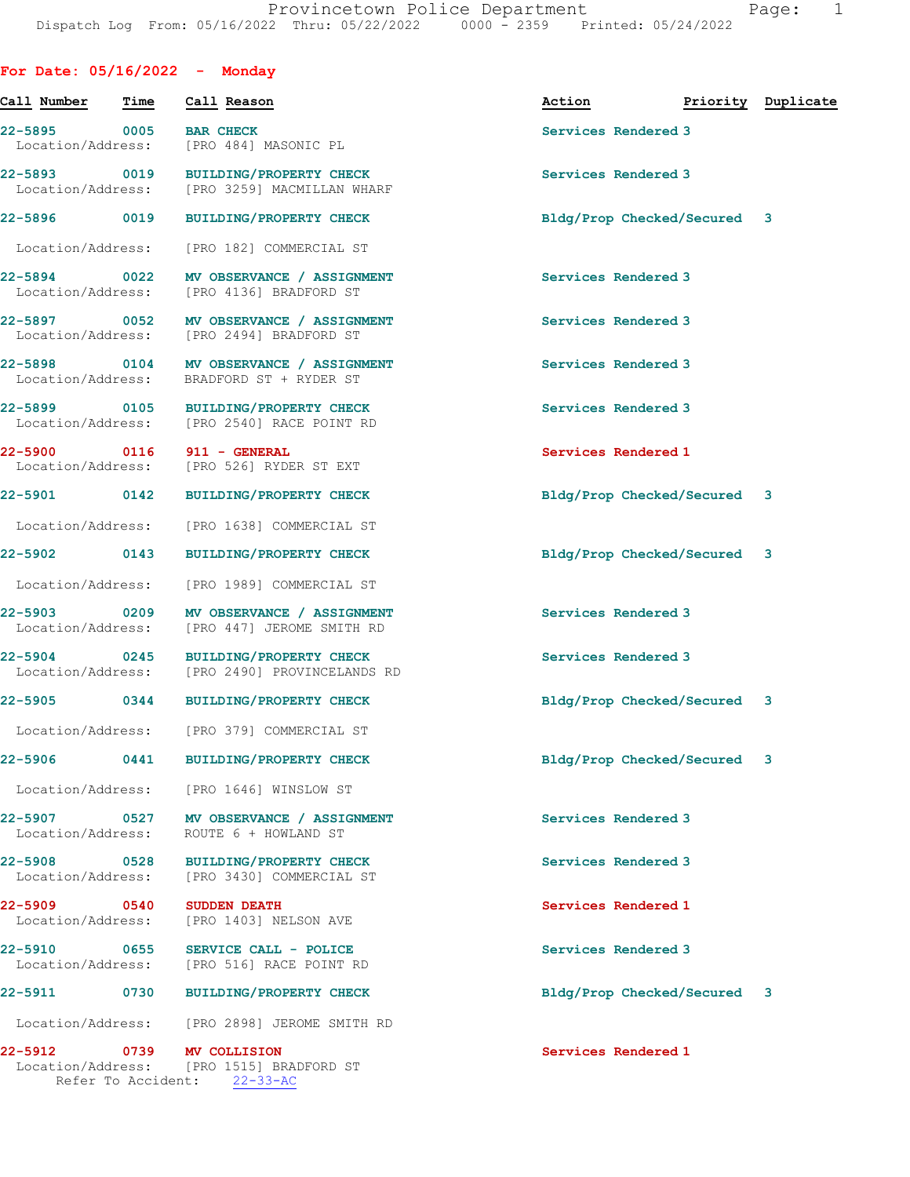For Date: 05/16/2022 - Monday

| Call Number Time                  |      | Call Reason                                                                                  | Action                      | Priority Duplicate |
|-----------------------------------|------|----------------------------------------------------------------------------------------------|-----------------------------|--------------------|
| 22-5895 0005<br>Location/Address: |      | <b>BAR CHECK</b><br>[PRO 484] MASONIC PL                                                     | Services Rendered 3         |                    |
| 22-5893 0019                      |      | <b>BUILDING/PROPERTY CHECK</b><br>Location/Address: [PRO 3259] MACMILLAN WHARF               | Services Rendered 3         |                    |
| 22-5896 0019                      |      | <b>BUILDING/PROPERTY CHECK</b>                                                               | Bldg/Prop Checked/Secured 3 |                    |
| Location/Address:                 |      | [PRO 182] COMMERCIAL ST                                                                      |                             |                    |
| 22-5894 0022<br>Location/Address: |      | MV OBSERVANCE / ASSIGNMENT<br>[PRO 4136] BRADFORD ST                                         | Services Rendered 3         |                    |
|                                   |      | 22-5897 0052 MV OBSERVANCE / ASSIGNMENT<br>Location/Address: [PRO 2494] BRADFORD ST          | Services Rendered 3         |                    |
|                                   |      | 22-5898 0104 MV OBSERVANCE / ASSIGNMENT<br>Location/Address: BRADFORD ST + RYDER ST          | Services Rendered 3         |                    |
|                                   |      | 22-5899 0105 BUILDING/PROPERTY CHECK<br>Location/Address: [PRO 2540] RACE POINT RD           | Services Rendered 3         |                    |
|                                   |      | 22-5900 0116 911 - GENERAL<br>Location/Address: [PRO 526] RYDER ST EXT                       | Services Rendered 1         |                    |
| 22-5901 0142                      |      | <b>BUILDING/PROPERTY CHECK</b>                                                               | Bldg/Prop Checked/Secured 3 |                    |
| Location/Address:                 |      | [PRO 1638] COMMERCIAL ST                                                                     |                             |                    |
| 22-5902 0143                      |      | <b>BUILDING/PROPERTY CHECK</b>                                                               | Bldg/Prop Checked/Secured 3 |                    |
| Location/Address:                 |      | [PRO 1989] COMMERCIAL ST                                                                     |                             |                    |
| 22-5903 0209<br>Location/Address: |      | MV OBSERVANCE / ASSIGNMENT<br>[PRO 447] JEROME SMITH RD                                      | Services Rendered 3         |                    |
| 22-5904 0245                      |      | BUILDING/PROPERTY CHECK<br>Location/Address: [PRO 2490] PROVINCELANDS RD                     | Services Rendered 3         |                    |
|                                   |      | 22-5905 0344 BUILDING/PROPERTY CHECK                                                         | Bldg/Prop Checked/Secured 3 |                    |
|                                   |      | Location/Address: [PRO 379] COMMERCIAL ST                                                    |                             |                    |
| $22 - 5906$                       | 0441 | <b>BUILDING/PROPERTY CHECK</b>                                                               | Bldg/Prop Checked/Secured 3 |                    |
| Location/Address:                 |      | [PRO 1646] WINSLOW ST                                                                        |                             |                    |
| 22-5907 0527<br>Location/Address: |      | MV OBSERVANCE / ASSIGNMENT<br>ROUTE 6 + HOWLAND ST                                           | Services Rendered 3         |                    |
| 22-5908<br>Location/Address:      | 0528 | <b>BUILDING/PROPERTY CHECK</b><br>[PRO 3430] COMMERCIAL ST                                   | Services Rendered 3         |                    |
| 22-5909 0540<br>Location/Address: |      | <b>SUDDEN DEATH</b><br>[PRO 1403] NELSON AVE                                                 | Services Rendered 1         |                    |
| 22-5910                           | 0655 | SERVICE CALL - POLICE<br>Location/Address: [PRO 516] RACE POINT RD                           | Services Rendered 3         |                    |
| 22-5911 0730                      |      | <b>BUILDING/PROPERTY CHECK</b>                                                               | Bldg/Prop Checked/Secured 3 |                    |
| Location/Address:                 |      | [PRO 2898] JEROME SMITH RD                                                                   |                             |                    |
| 22-5912                           |      | 0739 MV COLLISION<br>Location/Address: [PRO 1515] BRADFORD ST<br>Refer To Accident: 22-33-AC | Services Rendered 1         |                    |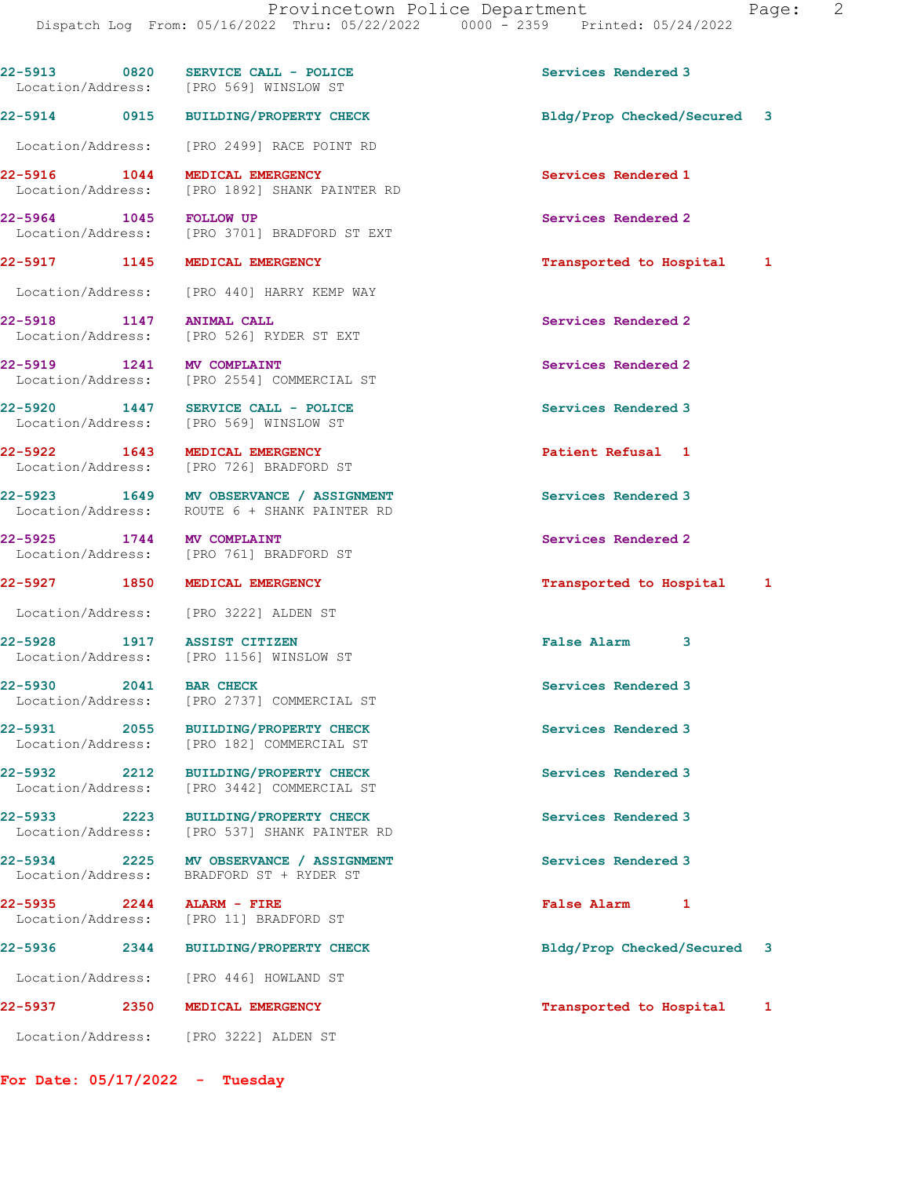|                                  | 22-5913 0820 SERVICE CALL - POLICE<br>Location/Address: [PRO 569] WINSLOW ST            | Services Rendered 3         |   |
|----------------------------------|-----------------------------------------------------------------------------------------|-----------------------------|---|
|                                  | 22-5914 0915 BUILDING/PROPERTY CHECK                                                    | Bldg/Prop Checked/Secured 3 |   |
|                                  | Location/Address: [PRO 2499] RACE POINT RD                                              |                             |   |
|                                  | 22-5916 1044 MEDICAL EMERGENCY<br>Location/Address: [PRO 1892] SHANK PAINTER RD         | Services Rendered 1         |   |
| 22-5964 1045 FOLLOW UP           | Location/Address: [PRO 3701] BRADFORD ST EXT                                            | Services Rendered 2         |   |
| 22-5917 1145 MEDICAL EMERGENCY   |                                                                                         | Transported to Hospital 1   |   |
|                                  | Location/Address: [PRO 440] HARRY KEMP WAY                                              |                             |   |
| 22-5918 1147 ANIMAL CALL         | Location/Address: [PRO 526] RYDER ST EXT                                                | Services Rendered 2         |   |
| 22-5919 1241 MV COMPLAINT        | Location/Address: [PRO 2554] COMMERCIAL ST                                              | Services Rendered 2         |   |
|                                  | 22-5920 1447 SERVICE CALL - POLICE<br>Location/Address: [PRO 569] WINSLOW ST            | Services Rendered 3         |   |
|                                  | 22-5922 1643 MEDICAL EMERGENCY<br>Location/Address: [PRO 726] BRADFORD ST               | Patient Refusal 1           |   |
|                                  | 22-5923 1649 MV OBSERVANCE / ASSIGNMENT<br>Location/Address: ROUTE 6 + SHANK PAINTER RD | Services Rendered 3         |   |
| 22-5925 1744 MV COMPLAINT        | Location/Address: [PRO 761] BRADFORD ST                                                 | Services Rendered 2         |   |
| 22-5927 1850 MEDICAL EMERGENCY   |                                                                                         | Transported to Hospital 1   |   |
|                                  | Location/Address: [PRO 3222] ALDEN ST                                                   |                             |   |
| 22-5928 1917 ASSIST CITIZEN      | Location/Address: [PRO 1156] WINSLOW ST                                                 | <b>False Alarm</b><br>3     |   |
| 22-5930 2041 BAR CHECK           | Location/Address: [PRO 2737] COMMERCIAL ST                                              | Services Rendered 3         |   |
| 22-5931<br>2055                  | <b>BUILDING/PROPERTY CHECK</b><br>Location/Address: [PRO 182] COMMERCIAL ST             | Services Rendered 3         |   |
|                                  | 22-5932 2212 BUILDING/PROPERTY CHECK<br>Location/Address: [PRO 3442] COMMERCIAL ST      | Services Rendered 3         |   |
|                                  | 22-5933 2223 BUILDING/PROPERTY CHECK<br>Location/Address: [PRO 537] SHANK PAINTER RD    | Services Rendered 3         |   |
|                                  | 22-5934 2225 MV OBSERVANCE / ASSIGNMENT<br>Location/Address: BRADFORD ST + RYDER ST     | Services Rendered 3         |   |
| 22-5935 2244 ALARM - FIRE        | Location/Address: [PRO 11] BRADFORD ST                                                  | <b>False Alarm</b><br>1     |   |
| 22-5936                          | 2344 BUILDING/PROPERTY CHECK                                                            | Bldg/Prop Checked/Secured 3 |   |
|                                  | Location/Address: [PRO 446] HOWLAND ST                                                  |                             |   |
| 22-5937                          | 2350 MEDICAL EMERGENCY                                                                  | Transported to Hospital     | 1 |
|                                  | Location/Address: [PRO 3222] ALDEN ST                                                   |                             |   |
| For Date: $05/17/2022 -$ Tuesday |                                                                                         |                             |   |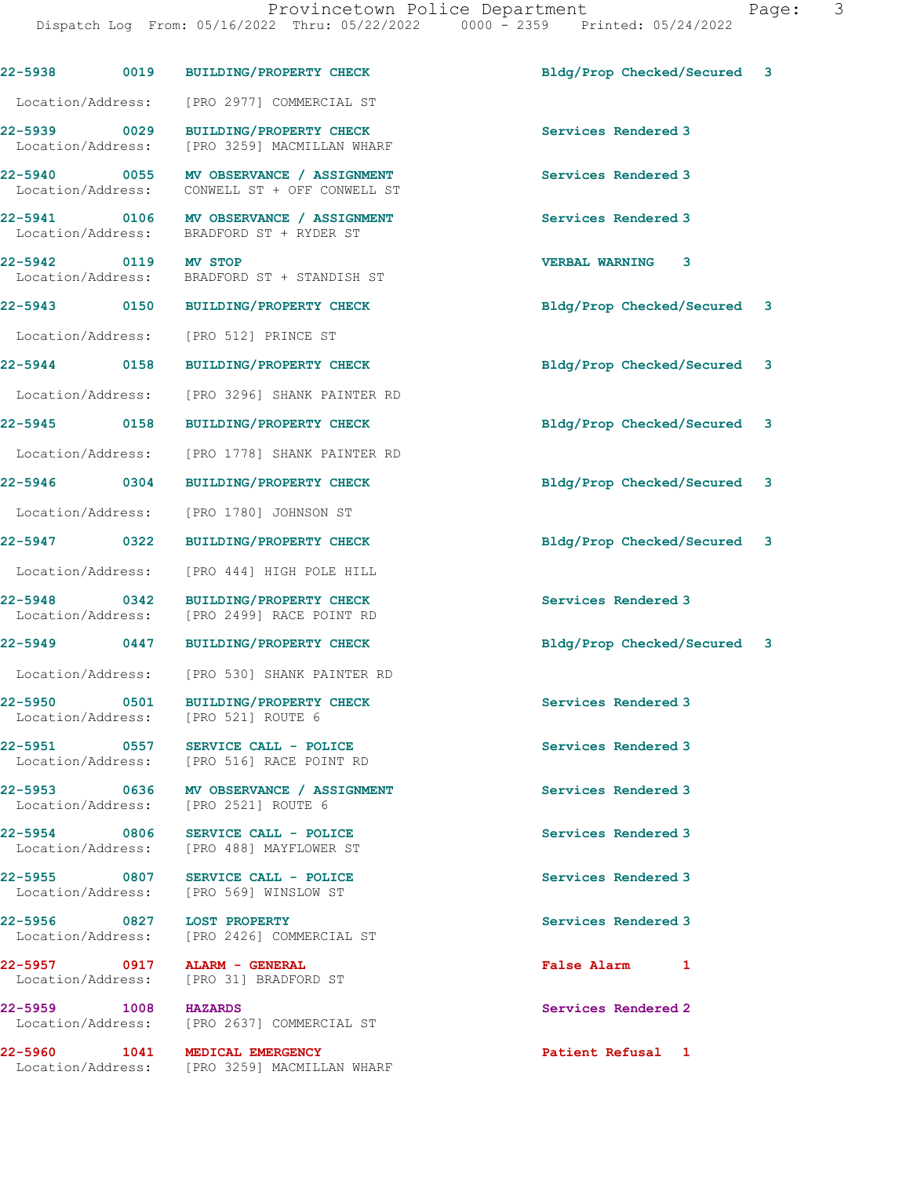| 22-5938                                     | 0019<br><b>BUILDING/PROPERTY CHECK</b>                                          | Bldg/Prop Checked/Secured<br>3 |
|---------------------------------------------|---------------------------------------------------------------------------------|--------------------------------|
| Location/Address:                           | [PRO 2977] COMMERCIAL ST                                                        |                                |
| $\sim$ 0029<br>22-5939<br>Location/Address: | <b>BUILDING/PROPERTY CHECK</b><br>[PRO 3259] MACMILLAN WHARF                    | Services Rendered 3            |
| 22-5940 0055<br>Location/Address:           | MV OBSERVANCE / ASSIGNMENT<br>CONWELL ST + OFF CONWELL ST                       | Services Rendered 3            |
| 0106<br>22-5941<br>Location/Address:        | MV OBSERVANCE / ASSIGNMENT<br>BRADFORD ST + RYDER ST                            | Services Rendered 3            |
| 22-5942 0119<br>Location/Address:           | <b>MV STOP</b><br>BRADFORD ST + STANDISH ST                                     | <b>VERBAL WARNING</b><br>3     |
| 22-5943 0150                                | <b>BUILDING/PROPERTY CHECK</b>                                                  | Bldg/Prop Checked/Secured<br>3 |
| Location/Address:                           | [PRO 512] PRINCE ST                                                             |                                |
| 22-5944 0158                                | <b>BUILDING/PROPERTY CHECK</b>                                                  | Bldg/Prop Checked/Secured<br>3 |
| Location/Address:                           | [PRO 3296] SHANK PAINTER RD                                                     |                                |
| 22-5945<br>0158                             | <b>BUILDING/PROPERTY CHECK</b>                                                  | Bldg/Prop Checked/Secured<br>3 |
| Location/Address:                           | [PRO 1778] SHANK PAINTER RD                                                     |                                |
| 22-5946 0304                                | <b>BUILDING/PROPERTY CHECK</b>                                                  | Bldg/Prop Checked/Secured<br>3 |
| Location/Address:                           | [PRO 1780] JOHNSON ST                                                           |                                |
| 22-5947<br>0322                             | <b>BUILDING/PROPERTY CHECK</b>                                                  | Bldg/Prop Checked/Secured<br>3 |
| Location/Address:                           | [PRO 444] HIGH POLE HILL                                                        |                                |
| 22-5948 0342<br>Location/Address:           | <b>BUILDING/PROPERTY CHECK</b><br>[PRO 2499] RACE POINT RD                      | Services Rendered 3            |
| 22-5949 0447                                | <b>BUILDING/PROPERTY CHECK</b>                                                  | Bldg/Prop Checked/Secured 3    |
| Location/Address:                           | [PRO 530] SHANK PAINTER RD                                                      |                                |
| 22-5950<br>0501<br>Location/Address:        | <b>BUILDING/PROPERTY CHECK</b><br>[PRO 521] ROUTE 6                             | Services Rendered 3            |
| 22-5951                                     | 0557 SERVICE CALL - POLICE<br>Location/Address: [PRO 516] RACE POINT RD         | Services Rendered 3            |
|                                             | 22-5953 0636 MV OBSERVANCE / ASSIGNMENT<br>Location/Address: [PRO 2521] ROUTE 6 | Services Rendered 3            |
|                                             | 22-5954 0806 SERVICE CALL - POLICE<br>Location/Address: [PRO 488] MAYFLOWER ST  | Services Rendered 3            |
|                                             | 22-5955 0807 SERVICE CALL - POLICE<br>Location/Address: [PRO 569] WINSLOW ST    | Services Rendered 3            |
|                                             | 22-5956 0827 LOST PROPERTY<br>Location/Address: [PRO 2426] COMMERCIAL ST        | Services Rendered 3            |
|                                             | 22-5957 0917 ALARM - GENERAL<br>Location/Address: [PRO 31] BRADFORD ST          | False Alarm 1                  |
| 22-5959 1008 HAZARDS                        | Location/Address: [PRO 2637] COMMERCIAL ST                                      | Services Rendered 2            |
| 22-5960 1041                                | MEDICAL EMERGENCY<br>Location/Address: [PRO 3259] MACMILLAN WHARF               | Patient Refusal 1              |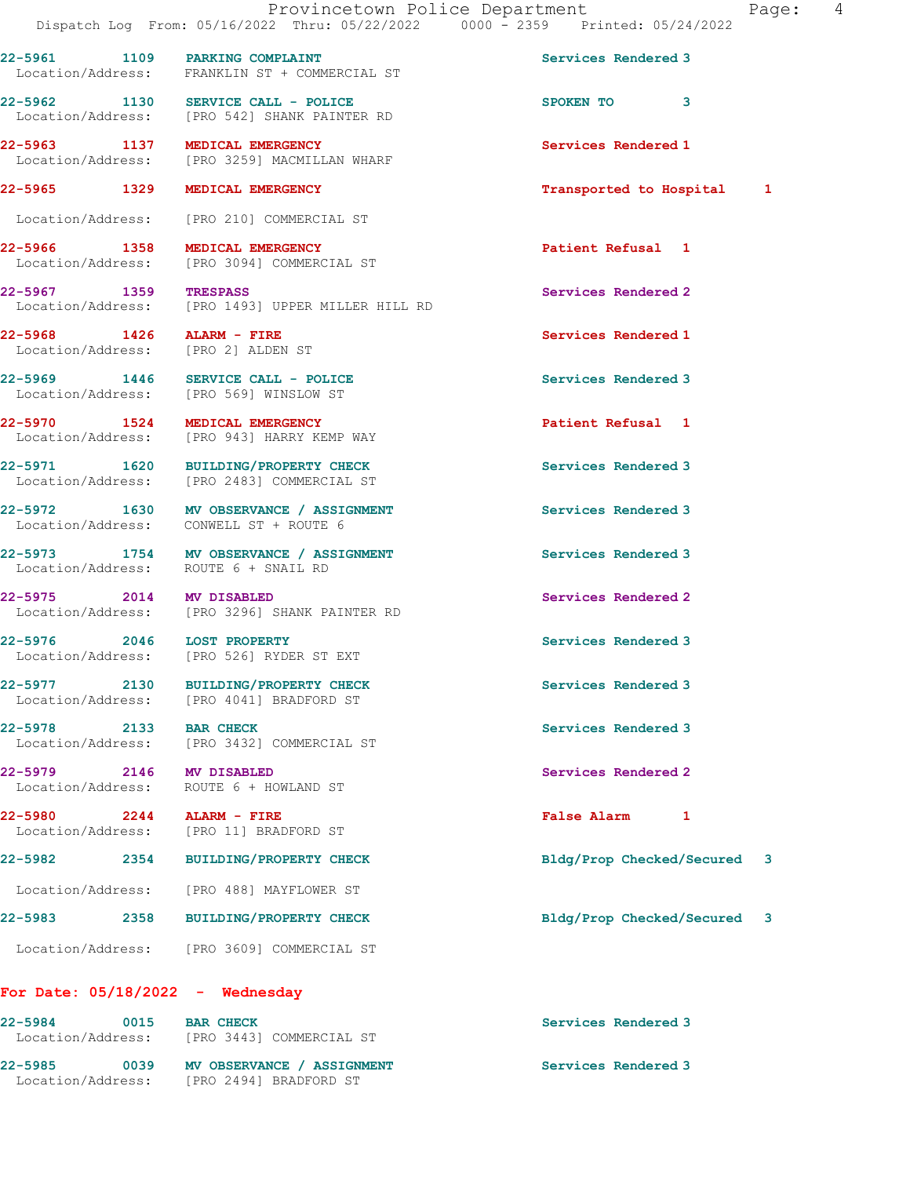22-5965 1329 MEDICAL EMERGENCY **122-5965** Transported to Hospital 1

22-5961 1109 PARKING COMPLAINT Services Rendered 3

22-5962 1130 SERVICE CALL - POLICE 3 SPOKEN TO 3<br>
Location/Address: [PRO 542] SHANK PAINTER RD

22-5963 1137 MEDICAL EMERGENCY Services Rendered 1

[PRO 542] SHANK PAINTER RD

Location/Address: FRANKLIN ST + COMMERCIAL ST

Location/Address: [PRO 3259] MACMILLAN WHARF

 Location/Address: [PRO 210] COMMERCIAL ST 22-5966 1358 MEDICAL EMERGENCY Patient Refusal 1 Location/Address: [PRO 3094] COMMERCIAL ST 22-5967 1359 TRESPASS Services Rendered 2 Location/Address: [PRO 1493] UPPER MILLER HILL RD 22-5968 1426 ALARM - FIRE Services Rendered 1 Location/Address: 22-5969 1446 SERVICE CALL - POLICE Services Rendered 3 Location/Address: [PRO 569] WINSLOW ST 22-5970 1524 MEDICAL EMERGENCY Patient Refusal 1 [PRO 943] HARRY KEMP WAY 22-5971 1620 BUILDING/PROPERTY CHECK Services Rendered 3 Location/Address: [PRO 2483] COMMERCIAL ST

22-5972 1630 MV OBSERVANCE / ASSIGNMENT Services Rendered 3 Location/Address: CONWELL ST + ROUTE 6

22-5973 1754 MV OBSERVANCE / ASSIGNMENT Services Rendered 3 Location/Address: ROUTE 6 + SNAIL RD

22-5975 2014 MV DISABLED<br>
Location/Address: [PRO 3296] SHANK PAINTER RD<br>
Services Rendered 2 [PRO 3296] SHANK PAINTER RD

22-5976 2046 LOST PROPERTY Services Rendered 3 Location/Address: [PRO 526] RYDER ST EXT

22-5977 2130 BUILDING/PROPERTY CHECK Services Rendered 3 Location/Address: [PRO 4041] BRADFORD ST

Location/Address: [PRO 3432] COMMERCIAL ST

Location/Address: ROUTE 6 + HOWLAND ST

22-5980 2244 ALARM - FIRE False Alarm 1 [PRO 11] BRADFORD ST

Location/Address: [PRO 488] MAYFLOWER ST

22-5983 2358 BUILDING/PROPERTY CHECK Bldg/Prop Checked/Secured 3

Location/Address: [PRO 3609] COMMERCIAL ST

## For Date: 05/18/2022 - Wednesday

| $22 - 5984$<br>Location/Address: | 0015 | <b>BAR CHECK</b><br>TPRO 34431 COMMERCIAL ST | Services Rendered 3 |
|----------------------------------|------|----------------------------------------------|---------------------|
| $22 - 5985$                      | 0039 | MV OBSERVANCE / ASSIGNMENT                   | Services Rendered 3 |
| Location/Address:                |      | [PRO 2494] BRADFORD ST                       |                     |

22-5978 2133 BAR CHECK Services Rendered 3

22-5979 2146 MV DISABLED 2008 Services Rendered 2

22-5982 2354 BUILDING/PROPERTY CHECK Bldg/Prop Checked/Secured 3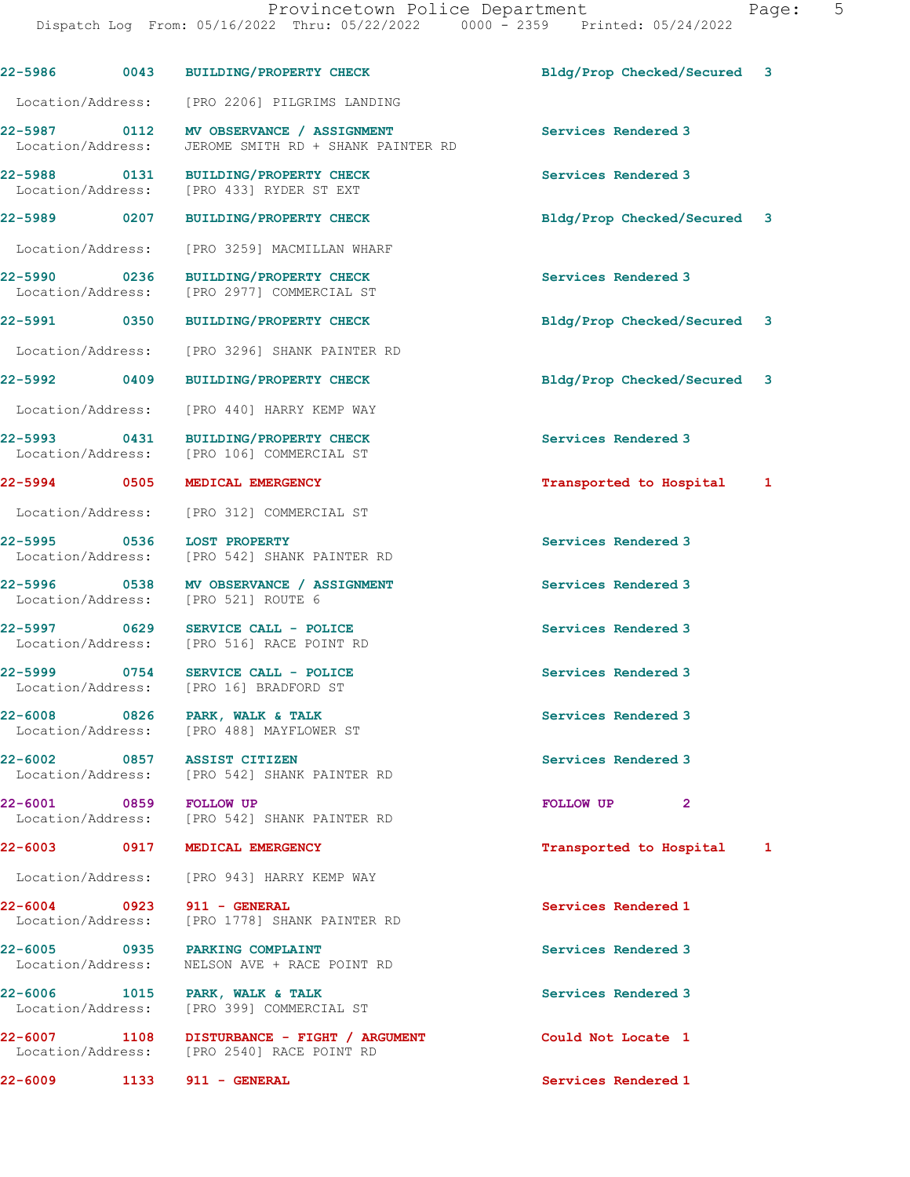|             |             | 22-5986 0043 BUILDING/PROPERTY CHECK                                                            | Bldg/Prop Checked/Secured 3 |  |
|-------------|-------------|-------------------------------------------------------------------------------------------------|-----------------------------|--|
|             |             | Location/Address: [PRO 2206] PILGRIMS LANDING                                                   |                             |  |
|             |             | 22-5987 0112 MV OBSERVANCE / ASSIGNMENT<br>Location/Address: JEROME SMITH RD + SHANK PAINTER RD | Services Rendered 3         |  |
|             |             | 22-5988 0131 BUILDING/PROPERTY CHECK<br>Location/Address: [PRO 433] RYDER ST EXT                | Services Rendered 3         |  |
|             |             | 22-5989 0207 BUILDING/PROPERTY CHECK                                                            | Bldg/Prop Checked/Secured 3 |  |
|             |             | Location/Address: [PRO 3259] MACMILLAN WHARF                                                    |                             |  |
|             |             | 22-5990 0236 BUILDING/PROPERTY CHECK<br>Location/Address: [PRO 2977] COMMERCIAL ST              | Services Rendered 3         |  |
|             |             | 22-5991 0350 BUILDING/PROPERTY CHECK                                                            | Bldg/Prop Checked/Secured 3 |  |
|             |             | Location/Address: [PRO 3296] SHANK PAINTER RD                                                   |                             |  |
|             |             | 22-5992 0409 BUILDING/PROPERTY CHECK                                                            | Bldg/Prop Checked/Secured 3 |  |
|             |             | Location/Address: [PRO 440] HARRY KEMP WAY                                                      |                             |  |
|             |             | 22-5993 0431 BUILDING/PROPERTY CHECK<br>Location/Address: [PRO 106] COMMERCIAL ST               | Services Rendered 3         |  |
|             |             | 22-5994 0505 MEDICAL EMERGENCY                                                                  | Transported to Hospital 1   |  |
|             |             | Location/Address: [PRO 312] COMMERCIAL ST                                                       |                             |  |
|             |             | 22-5995 0536 LOST PROPERTY<br>Location/Address: [PRO 542] SHANK PAINTER RD                      | Services Rendered 3         |  |
|             |             | 22-5996 0538 MV OBSERVANCE / ASSIGNMENT<br>Location/Address: [PRO 521] ROUTE 6                  | Services Rendered 3         |  |
|             |             | 22-5997 0629 SERVICE CALL - POLICE<br>Location/Address: [PRO 516] RACE POINT RD                 | Services Rendered 3         |  |
|             |             | 22-5999 0754 SERVICE CALL - POLICE<br>Location/Address: [PRO 16] BRADFORD ST                    | Services Rendered 3         |  |
| $22 - 6008$ | $\sim$ 0826 | PARK, WALK & TALK<br>Location/Address: [PRO 488] MAYFLOWER ST                                   | Services Rendered 3         |  |
|             |             | 22-6002 0857 ASSIST CITIZEN<br>Location/Address: [PRO 542] SHANK PAINTER RD                     | Services Rendered 3         |  |
|             |             | 22-6001 0859 FOLLOW UP<br>Location/Address: [PRO 542] SHANK PAINTER RD                          | FOLLOW UP<br>$\mathbf{2}$   |  |
|             |             | 22-6003 0917 MEDICAL EMERGENCY                                                                  | Transported to Hospital 1   |  |
|             |             | Location/Address: [PRO 943] HARRY KEMP WAY                                                      |                             |  |
|             |             | 22-6004 0923 911 - GENERAL<br>Location/Address: [PRO 1778] SHANK PAINTER RD                     | Services Rendered 1         |  |
|             |             | 22-6005 0935 PARKING COMPLAINT<br>Location/Address: NELSON AVE + RACE POINT RD                  | Services Rendered 3         |  |
|             |             | 22-6006 1015 PARK, WALK & TALK<br>Location/Address: [PRO 399] COMMERCIAL ST                     | Services Rendered 3         |  |
|             |             | 22-6007 1108 DISTURBANCE - FIGHT / ARGUMENT<br>Location/Address: [PRO 2540] RACE POINT RD       | Could Not Locate 1          |  |
| 22-6009     | 1133        | 911 - GENERAL                                                                                   | Services Rendered 1         |  |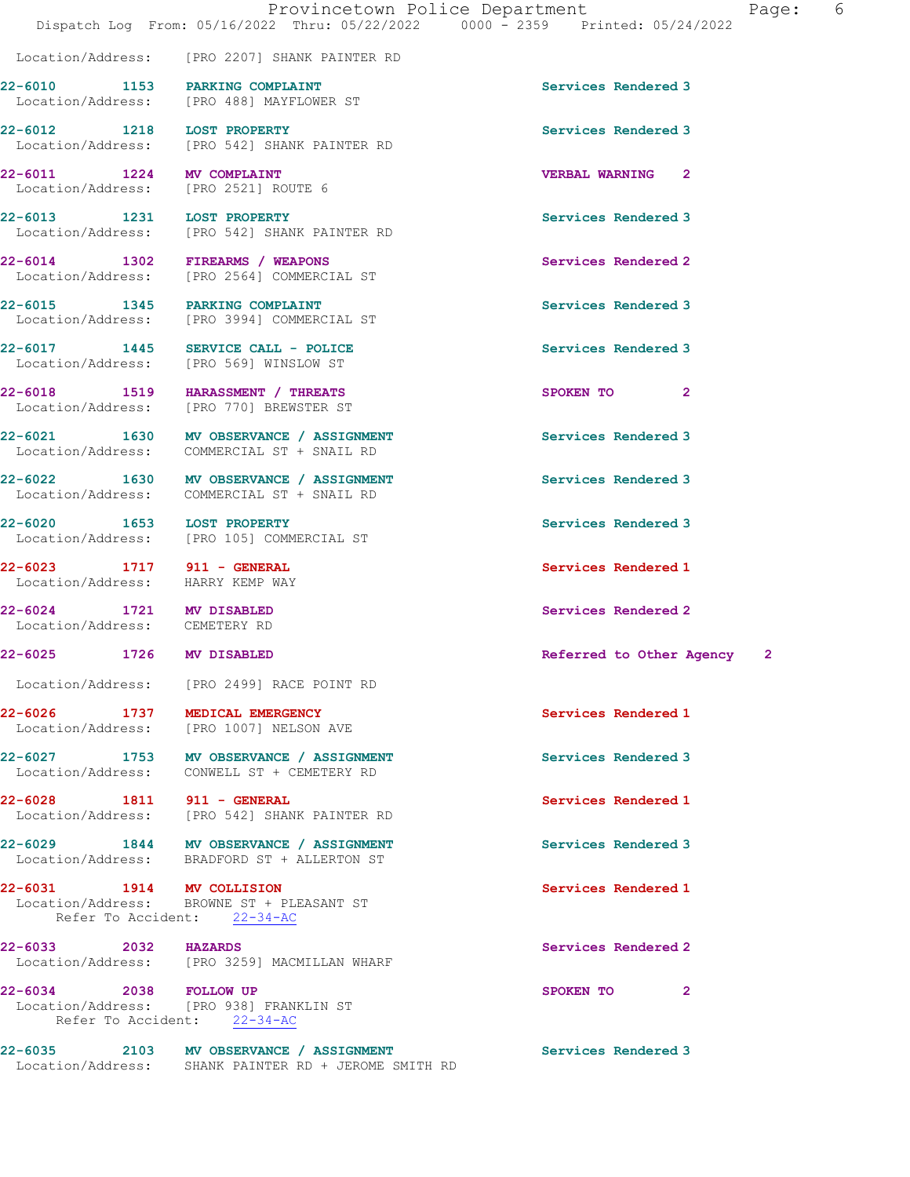Location/Address: [PRO 2207] SHANK PAINTER RD

|                                                                | 22-6010 1153 PARKING COMPLAINT<br>Location/Address: [PRO 488] MAYFLOWER ST             | Services Rendered 3      |                |
|----------------------------------------------------------------|----------------------------------------------------------------------------------------|--------------------------|----------------|
| 22-6012 1218                                                   | <b>LOST PROPERTY</b><br>Location/Address: [PRO 542] SHANK PAINTER RD                   | Services Rendered 3      |                |
| 22-6011 1224 MV COMPLAINT                                      | Location/Address: [PRO 2521] ROUTE 6                                                   | <b>VERBAL WARNING 2</b>  |                |
| 22-6013 1231                                                   | <b>LOST PROPERTY</b><br>Location/Address: [PRO 542] SHANK PAINTER RD                   | Services Rendered 3      |                |
|                                                                | 22-6014 1302 FIREARMS / WEAPONS<br>Location/Address: [PRO 2564] COMMERCIAL ST          | Services Rendered 2      |                |
| Location/Address:                                              | 22-6015 1345 PARKING COMPLAINT<br>[PRO 3994] COMMERCIAL ST                             | Services Rendered 3      |                |
| 22-6017 1445                                                   | SERVICE CALL - POLICE<br>Location/Address: [PRO 569] WINSLOW ST                        | Services Rendered 3      |                |
| 22-6018 1519<br>Location/Address:                              | HARASSMENT / THREATS<br>[PRO 770] BREWSTER ST                                          | SPOKEN TO                | $\overline{2}$ |
| 22-6021 1630<br>Location/Address:                              | MV OBSERVANCE / ASSIGNMENT<br>COMMERCIAL ST + SNAIL RD                                 | Services Rendered 3      |                |
|                                                                | 22-6022 1630 MV OBSERVANCE / ASSIGNMENT<br>Location/Address: COMMERCIAL ST + SNAIL RD  | Services Rendered 3      |                |
| 22-6020 1653 LOST PROPERTY                                     | Location/Address: [PRO 105] COMMERCIAL ST                                              | Services Rendered 3      |                |
| 22-6023 1717 911 - GENERAL<br>Location/Address: HARRY KEMP WAY |                                                                                        | Services Rendered 1      |                |
| 22-6024 1721 MV DISABLED<br>Location/Address: CEMETERY RD      |                                                                                        | Services Rendered 2      |                |
| 22-6025 1726 MV DISABLED                                       |                                                                                        | Referred to Other Agency | $\mathbf{2}$   |
|                                                                | Location/Address: [PRO 2499] RACE POINT RD                                             |                          |                |
| 22-6026 1737<br>Location/Address:                              | MEDICAL EMERGENCY<br>[PRO 1007] NELSON AVE                                             | Services Rendered 1      |                |
|                                                                |                                                                                        |                          |                |
|                                                                | 22-6027 1753 MV OBSERVANCE / ASSIGNMENT<br>Location/Address: CONWELL ST + CEMETERY RD  | Services Rendered 3      |                |
|                                                                | Location/Address: [PRO 542] SHANK PAINTER RD                                           | Services Rendered 1      |                |
|                                                                | 22-6029 1844 MV OBSERVANCE / ASSIGNMENT<br>Location/Address: BRADFORD ST + ALLERTON ST | Services Rendered 3      |                |
| 22-6028 1811 911 - GENERAL<br>22-6031 1914 MV COLLISION        | Location/Address: BROWNE ST + PLEASANT ST<br>Refer To Accident: 22-34-AC               | Services Rendered 1      |                |
| 22-6033 2032 HAZARDS                                           | Location/Address: [PRO 3259] MACMILLAN WHARF                                           | Services Rendered 2      |                |

22-6035 2103 MV OBSERVANCE / ASSIGNMENT Services Rendered 3 Location/Address: SHANK PAINTER RD + JEROME SMITH RD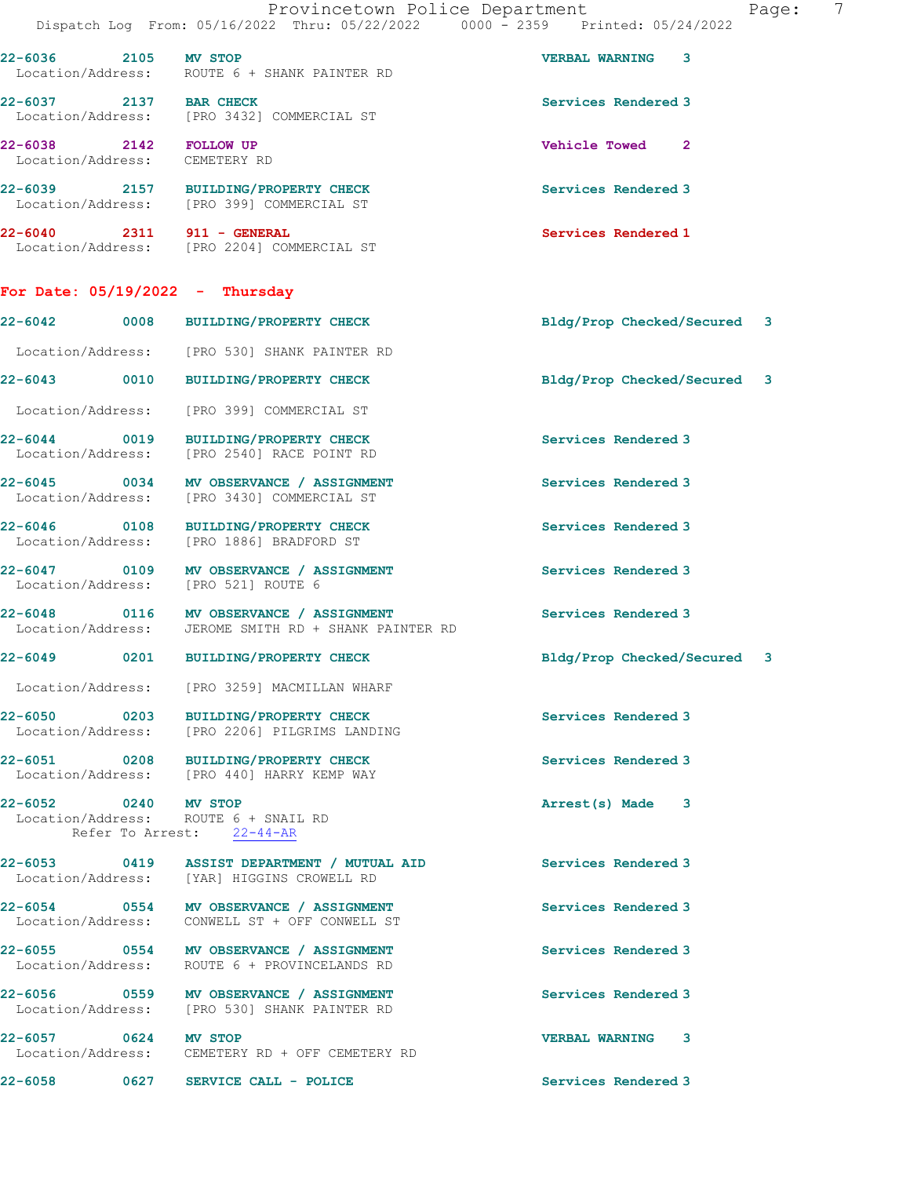|                                                         | Provincetown Police Department<br>Dispatch Log From: 05/16/2022 Thru: 05/22/2022 0000 - 2359 Printed: 05/24/2022 |                             | 7<br>Page: |
|---------------------------------------------------------|------------------------------------------------------------------------------------------------------------------|-----------------------------|------------|
| 22-6036 2105 MV STOP                                    | Location/Address: ROUTE 6 + SHANK PAINTER RD                                                                     | <b>VERBAL WARNING 3</b>     |            |
| 22-6037 2137 BAR CHECK                                  | Location/Address: [PRO 3432] COMMERCIAL ST                                                                       | Services Rendered 3         |            |
| 22-6038 2142 FOLLOW UP<br>Location/Address: CEMETERY RD |                                                                                                                  | Vehicle Towed 2             |            |
|                                                         | 22-6039 2157 BUILDING/PROPERTY CHECK<br>Location/Address: [PRO 399] COMMERCIAL ST                                | Services Rendered 3         |            |
|                                                         | 22-6040 2311 911 - GENERAL<br>Location/Address: [PRO 2204] COMMERCIAL ST                                         | Services Rendered 1         |            |
|                                                         | For Date: $05/19/2022 - Thursday$                                                                                |                             |            |
|                                                         | 22-6042 0008 BUILDING/PROPERTY CHECK                                                                             | Bldg/Prop Checked/Secured 3 |            |
|                                                         | Location/Address: [PRO 530] SHANK PAINTER RD                                                                     |                             |            |
|                                                         | 22-6043 0010 BUILDING/PROPERTY CHECK                                                                             | Bldg/Prop Checked/Secured 3 |            |
|                                                         | Location/Address: [PRO 399] COMMERCIAL ST                                                                        |                             |            |
|                                                         | 22-6044 0019 BUILDING/PROPERTY CHECK<br>Location/Address: [PRO 2540] RACE POINT RD                               | Services Rendered 3         |            |
|                                                         | 22-6045 0034 MV OBSERVANCE / ASSIGNMENT<br>Location/Address: [PRO 3430] COMMERCIAL ST                            | Services Rendered 3         |            |
|                                                         | 22-6046 0108 BUILDING/PROPERTY CHECK<br>Location/Address: [PRO 1886] BRADFORD ST                                 | Services Rendered 3         |            |
|                                                         | 22-6047 0109 MV OBSERVANCE / ASSIGNMENT<br>Location/Address: [PRO 521] ROUTE 6                                   | Services Rendered 3         |            |
|                                                         | 22-6048 0116 MV OBSERVANCE / ASSIGNMENT<br>Location/Address: JEROME SMITH RD + SHANK PAINTER RD                  | Services Rendered 3         |            |
| 22-6049                                                 | 0201 BUILDING/PROPERTY CHECK                                                                                     | Bldg/Prop Checked/Secured 3 |            |
|                                                         | Location/Address: [PRO 3259] MACMILLAN WHARF                                                                     |                             |            |
|                                                         | 22-6050 0203 BUILDING/PROPERTY CHECK<br>Location/Address: [PRO 2206] PILGRIMS LANDING                            | Services Rendered 3         |            |
|                                                         | 22-6051 0208 BUILDING/PROPERTY CHECK<br>Location/Address: [PRO 440] HARRY KEMP WAY                               | Services Rendered 3         |            |
| 22-6052 0240 MV STOP                                    | Location/Address: ROUTE 6 + SNAIL RD<br>Refer To Arrest: 22-44-AR                                                | Arrest(s) Made 3            |            |
|                                                         | 22-6053 0419 ASSIST DEPARTMENT / MUTUAL AID<br>Location/Address: [YAR] HIGGINS CROWELL RD                        | Services Rendered 3         |            |
|                                                         | 22-6054 0554 MV OBSERVANCE / ASSIGNMENT<br>Location/Address: CONWELL ST + OFF CONWELL ST                         | Services Rendered 3         |            |
|                                                         | 22-6055 0554 MV OBSERVANCE / ASSIGNMENT<br>Location/Address: ROUTE 6 + PROVINCELANDS RD                          | Services Rendered 3         |            |
|                                                         | 22-6056 0559 MV OBSERVANCE / ASSIGNMENT<br>Location/Address: [PRO 530] SHANK PAINTER RD                          | Services Rendered 3         |            |
| 22-6057 0624 MV STOP                                    | Location/Address: CEMETERY RD + OFF CEMETERY RD                                                                  | <b>VERBAL WARNING 3</b>     |            |
|                                                         | 22-6058 0627 SERVICE CALL - POLICE                                                                               | Services Rendered 3         |            |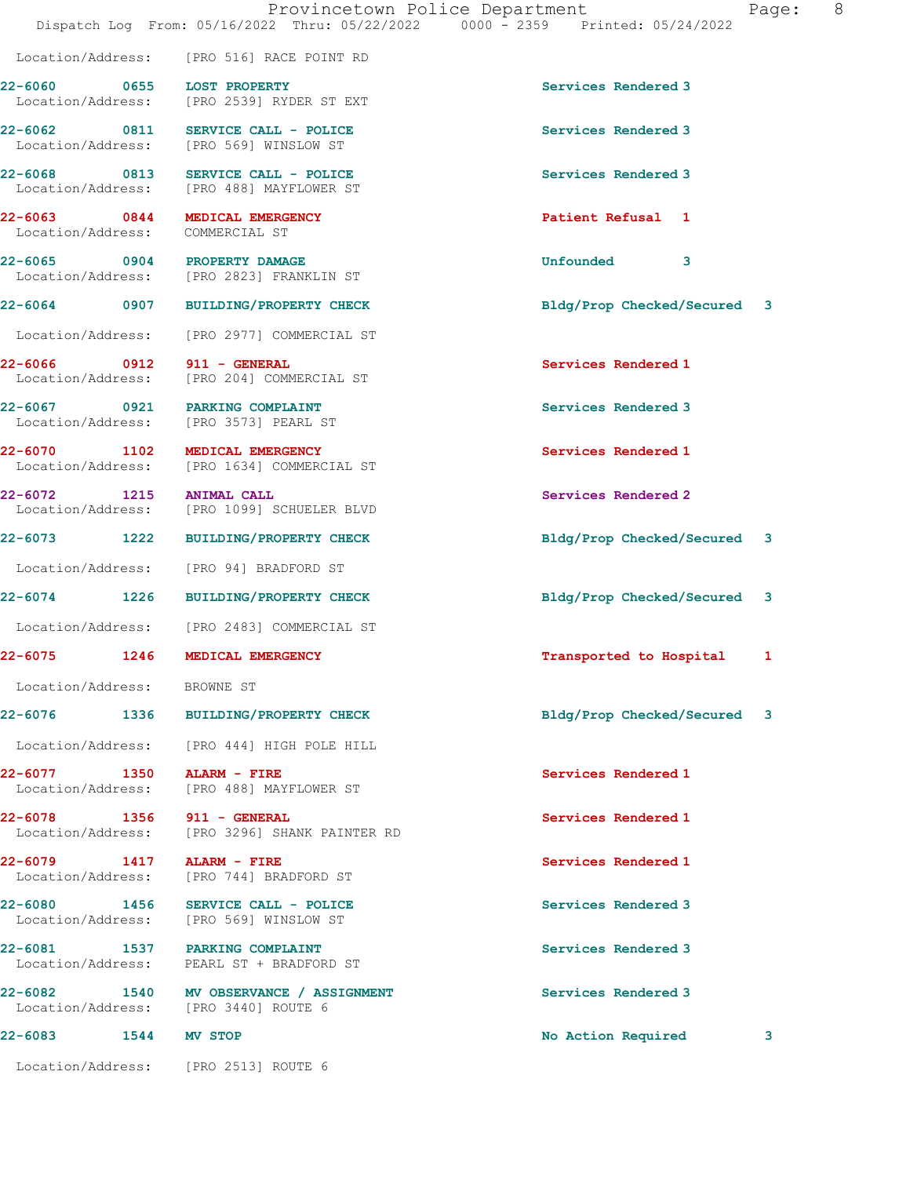|                                 |                                                                                 | Dispatch Log From: 05/16/2022 Thru: 05/22/2022 0000 - 2359 Printed: 05/24/2022 |
|---------------------------------|---------------------------------------------------------------------------------|--------------------------------------------------------------------------------|
|                                 | Location/Address: [PRO 516] RACE POINT RD                                       |                                                                                |
| 22-6060 0655 LOST PROPERTY      | Location/Address: [PRO 2539] RYDER ST EXT                                       | Services Rendered 3                                                            |
|                                 | 22-6062 0811 SERVICE CALL - POLICE<br>Location/Address: [PRO 569] WINSLOW ST    | Services Rendered 3                                                            |
|                                 | 22-6068 0813 SERVICE CALL - POLICE<br>Location/Address: [PRO 488] MAYFLOWER ST  | Services Rendered 3                                                            |
| Location/Address: COMMERCIAL ST | 22-6063 0844 MEDICAL EMERGENCY                                                  | Patient Refusal 1                                                              |
|                                 | 22-6065 0904 PROPERTY DAMAGE<br>Location/Address: [PRO 2823] FRANKLIN ST        | Unfounded<br>3                                                                 |
|                                 | 22-6064 0907 BUILDING/PROPERTY CHECK                                            | Bldg/Prop Checked/Secured 3                                                    |
|                                 | Location/Address: [PRO 2977] COMMERCIAL ST                                      |                                                                                |
| 22-6066 0912 911 - GENERAL      | Location/Address: [PRO 204] COMMERCIAL ST                                       | Services Rendered 1                                                            |
|                                 | 22-6067 0921 PARKING COMPLAINT<br>Location/Address: [PRO 3573] PEARL ST         | Services Rendered 3                                                            |
|                                 | 22-6070 1102 MEDICAL EMERGENCY<br>Location/Address: [PRO 1634] COMMERCIAL ST    | Services Rendered 1                                                            |
| 22-6072 1215                    | ANIMAL CALL<br>Location/Address: [PRO 1099] SCHUELER BLVD                       | Services Rendered 2                                                            |
|                                 | 22-6073 1222 BUILDING/PROPERTY CHECK                                            | Bldg/Prop Checked/Secured 3                                                    |
|                                 | Location/Address: [PRO 94] BRADFORD ST                                          |                                                                                |
|                                 | 22-6074 1226 BUILDING/PROPERTY CHECK                                            | Bldg/Prop Checked/Secured<br>3                                                 |
|                                 | Location/Address: [PRO 2483] COMMERCIAL ST                                      |                                                                                |
|                                 | 22-6075 1246 MEDICAL EMERGENCY                                                  | Transported to Hospital<br>1                                                   |
| Location/Address: BROWNE ST     |                                                                                 |                                                                                |
|                                 | 22-6076 1336 BUILDING/PROPERTY CHECK                                            | Bldg/Prop Checked/Secured<br>3                                                 |
|                                 | Location/Address: [PRO 444] HIGH POLE HILL                                      |                                                                                |
| 22-6077 1350 ALARM - FIRE       | Location/Address: [PRO 488] MAYFLOWER ST                                        | Services Rendered 1                                                            |
| 22-6078 1356 911 - GENERAL      | Location/Address: [PRO 3296] SHANK PAINTER RD                                   | Services Rendered 1                                                            |
| 22-6079 1417 ALARM - FIRE       | Location/Address: [PRO 744] BRADFORD ST                                         | Services Rendered 1                                                            |
|                                 | 22-6080 1456 SERVICE CALL - POLICE<br>Location/Address: [PRO 569] WINSLOW ST    | Services Rendered 3                                                            |
|                                 | 22-6081 1537 PARKING COMPLAINT<br>Location/Address: PEARL ST + BRADFORD ST      | Services Rendered 3                                                            |
|                                 | 22-6082 1540 MV OBSERVANCE / ASSIGNMENT<br>Location/Address: [PRO 3440] ROUTE 6 | Services Rendered 3                                                            |
| 22-6083 1544 MV STOP            |                                                                                 | No Action Required<br>3                                                        |
|                                 | Location/Address: [PRO 2513] ROUTE 6                                            |                                                                                |

Provincetown Police Department Fage: 8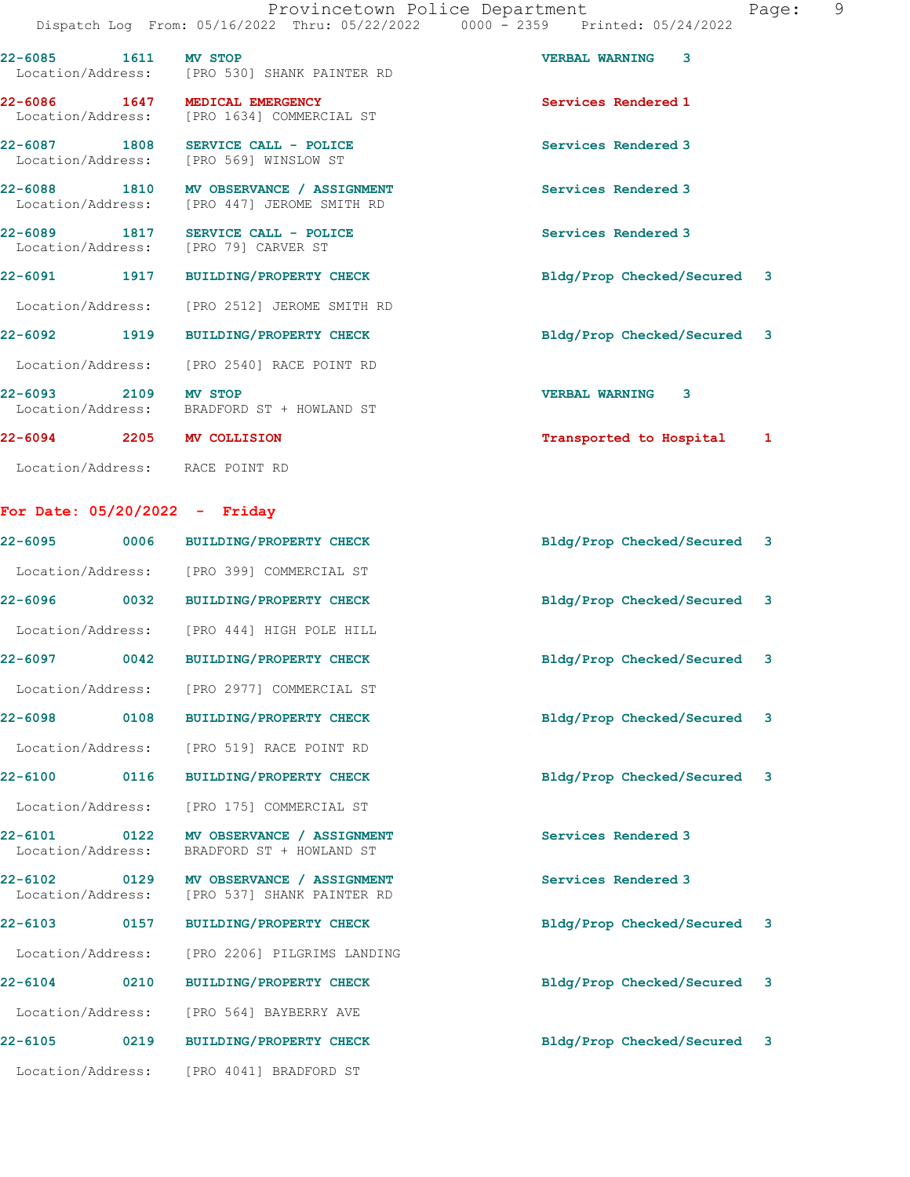22-6085 1611 MV STOP VERBAL WARNING 3

22-6086 1647 MEDICAL EMERGENCY Services Rendered 1

Location/Address: [PRO 530] SHANK PAINTER RD

 Location/Address: [PRO 1634] COMMERCIAL ST 22-6087 1808 SERVICE CALL - POLICE Services Rendered 3 Location/Address: [PRO 569] WINSLOW ST 22-6088 1810 MV OBSERVANCE / ASSIGNMENT Services Rendered 3<br>
Location/Address: [PRO 447] JEROME SMITH RD [PRO 447] JEROME SMITH RD 22-6089 1817 SERVICE CALL - POLICE Services Rendered 3 Location/Address: [PRO 79] CARVER ST 22-6091 1917 BUILDING/PROPERTY CHECK Bldg/Prop Checked/Secured 3 Location/Address: [PRO 2512] JEROME SMITH RD 22-6092 1919 BUILDING/PROPERTY CHECK Bldg/Prop Checked/Secured 3 Location/Address: [PRO 2540] RACE POINT RD 22-6093 2109 MV STOP VERBAL WARNING 3 Location/Address: BRADFORD ST + HOWLAND ST 22-6094 2205 MV COLLISION Transported to Hospital 1 Location/Address: RACE POINT RD For Date: 05/20/2022 - Friday

22-6095 0006 BUILDING/PROPERTY CHECK Bldg/Prop Checked/Secured 3 Location/Address: [PRO 399] COMMERCIAL ST 22-6096 0032 BUILDING/PROPERTY CHECK Bldg/Prop Checked/Secured 3 Location/Address: [PRO 444] HIGH POLE HILL 22-6097 0042 BUILDING/PROPERTY CHECK Bldg/Prop Checked/Secured 3 Location/Address: [PRO 2977] COMMERCIAL ST 22-6098 0108 BUILDING/PROPERTY CHECK Bldg/Prop Checked/Secured 3 Location/Address: [PRO 519] RACE POINT RD 22-6100 0116 BUILDING/PROPERTY CHECK Bldg/Prop Checked/Secured 3 Location/Address: [PRO 175] COMMERCIAL ST 22-6101 0122 MV OBSERVANCE / ASSIGNMENT Services Rendered 3 Location/Address: BRADFORD ST + HOWLAND ST 22-6102 0129 MV OBSERVANCE / ASSIGNMENT Services Rendered 3<br>
Location/Address: [PRO 537] SHANK PAINTER RD [PRO 537] SHANK PAINTER RD 22-6103 0157 BUILDING/PROPERTY CHECK Bldg/Prop Checked/Secured 3 Location/Address: [PRO 2206] PILGRIMS LANDING 22-6104 0210 BUILDING/PROPERTY CHECK Bldg/Prop Checked/Secured 3 Location/Address: [PRO 564] BAYBERRY AVE 22-6105 0219 BUILDING/PROPERTY CHECK Bldg/Prop Checked/Secured 3 Location/Address: [PRO 4041] BRADFORD ST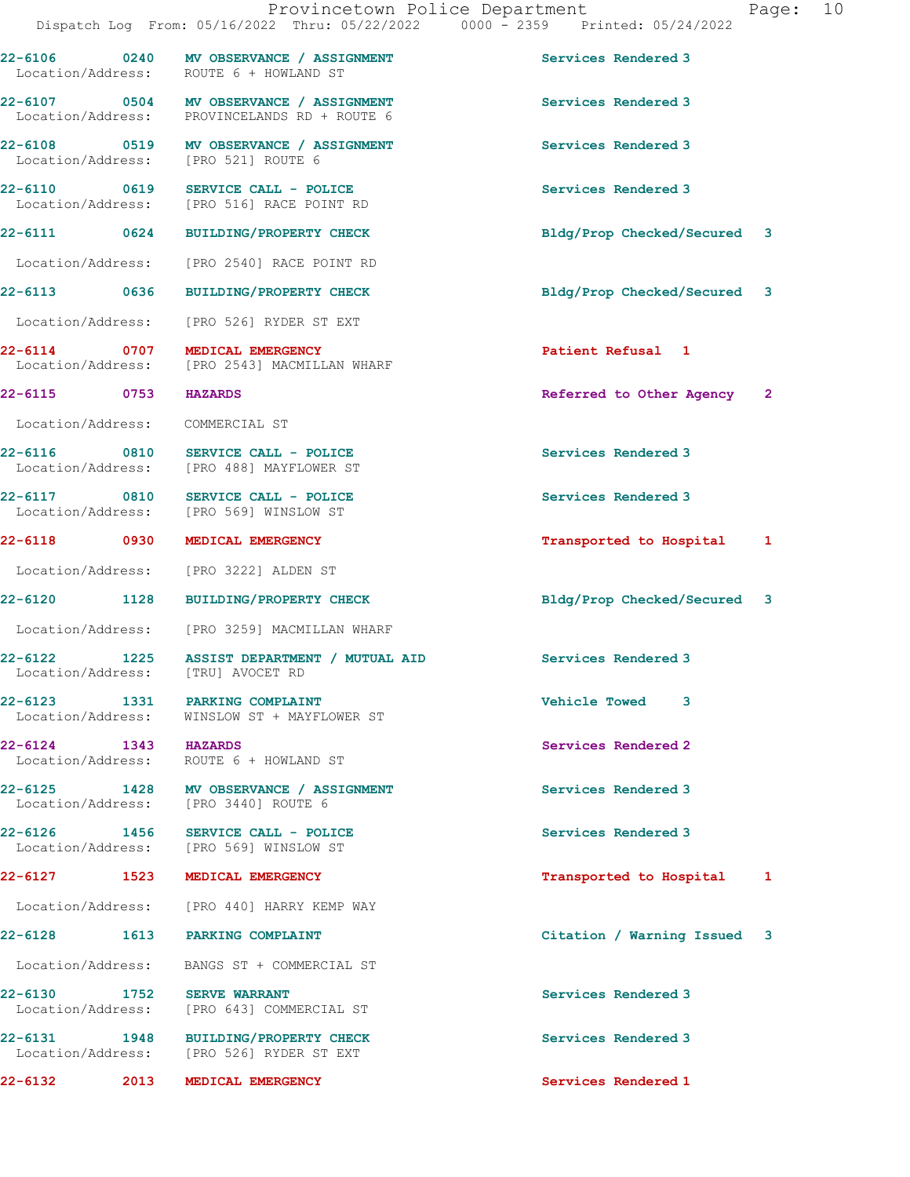|                                                                                         |                                                 | Dispatch Log From: 05/16/2022 Thru: 05/22/2022 0000 - 2359 Printed: 05/24/2022 |                     |                             |  |
|-----------------------------------------------------------------------------------------|-------------------------------------------------|--------------------------------------------------------------------------------|---------------------|-----------------------------|--|
| 22-6106 0240 MV OBSERVANCE / ASSIGNMENT<br>Location/Address: ROUTE 6 + HOWLAND ST       |                                                 |                                                                                |                     | Services Rendered 3         |  |
| 22-6107 0504 MV OBSERVANCE / ASSIGNMENT<br>Location/Address: PROVINCELANDS RD + ROUTE 6 |                                                 |                                                                                | Services Rendered 3 |                             |  |
| 22-6108 0519 MV OBSERVANCE / ASSIGNMENT<br>Location/Address: [PRO 521] ROUTE 6          |                                                 |                                                                                | Services Rendered 3 |                             |  |
| 22-6110 0619<br>Location/Address: [PRO 516] RACE POINT RD                               | SERVICE CALL - POLICE                           |                                                                                | Services Rendered 3 |                             |  |
| 22-6111 0624                                                                            | <b>BUILDING/PROPERTY CHECK</b>                  |                                                                                |                     | Bldg/Prop Checked/Secured 3 |  |
| Location/Address: [PRO 2540] RACE POINT RD                                              |                                                 |                                                                                |                     |                             |  |
| 22-6113 0636                                                                            | <b>BUILDING/PROPERTY CHECK</b>                  |                                                                                |                     | Bldg/Prop Checked/Secured 3 |  |
| Location/Address:                                                                       | [PRO 526] RYDER ST EXT                          |                                                                                |                     |                             |  |
| 22-6114 0707<br>Location/Address:                                                       | MEDICAL EMERGENCY<br>[PRO 2543] MACMILLAN WHARF |                                                                                |                     | Patient Refusal 1           |  |
| 22-6115 0753                                                                            | <b>HAZARDS</b>                                  |                                                                                |                     | Referred to Other Agency 2  |  |
| Location/Address: COMMERCIAL ST                                                         |                                                 |                                                                                |                     |                             |  |
| 22-6116 0810 SERVICE CALL - POLICE<br>Location/Address: [PRO 488] MAYFLOWER ST          |                                                 |                                                                                | Services Rendered 3 |                             |  |
| 22-6117 0810<br>Location/Address: [PRO 569] WINSLOW ST                                  | SERVICE CALL - POLICE                           |                                                                                | Services Rendered 3 |                             |  |
| 22-6118 0930                                                                            | MEDICAL EMERGENCY                               |                                                                                |                     | Transported to Hospital 1   |  |
| Location/Address: [PRO 3222] ALDEN ST                                                   |                                                 |                                                                                |                     |                             |  |
| 22-6120 1128                                                                            | <b>BUILDING/PROPERTY CHECK</b>                  |                                                                                |                     | Bldg/Prop Checked/Secured 3 |  |
| Location/Address: [PRO 3259] MACMILLAN WHARF                                            |                                                 |                                                                                |                     |                             |  |
| 22-6122 1225 ASSIST DEPARTMENT / MUTUAL AID<br>Location/Address: [TRU] AVOCET RD        |                                                 |                                                                                | Services Rendered 3 |                             |  |
| 22-6123 1331 PARKING COMPLAINT<br>Location/Address: WINSLOW ST + MAYFLOWER ST           |                                                 |                                                                                | Vehicle Towed 3     |                             |  |
| 22-6124 1343 HAZARDS<br>Location/Address: ROUTE 6 + HOWLAND ST                          |                                                 |                                                                                | Services Rendered 2 |                             |  |
| 22-6125 1428 MV OBSERVANCE / ASSIGNMENT<br>Location/Address: [PRO 3440] ROUTE 6         |                                                 |                                                                                | Services Rendered 3 |                             |  |
| 22-6126 1456 SERVICE CALL - POLICE<br>Location/Address: [PRO 569] WINSLOW ST            |                                                 |                                                                                | Services Rendered 3 |                             |  |
| 22-6127 1523                                                                            | MEDICAL EMERGENCY                               |                                                                                |                     | Transported to Hospital 1   |  |
| Location/Address: [PRO 440] HARRY KEMP WAY                                              |                                                 |                                                                                |                     |                             |  |
| 22-6128                                                                                 | 1613 PARKING COMPLAINT                          |                                                                                |                     | Citation / Warning Issued 3 |  |
| Location/Address: BANGS ST + COMMERCIAL ST                                              |                                                 |                                                                                |                     |                             |  |
| 22-6130                                                                                 | 1752 SERVE WARRANT                              |                                                                                |                     | Services Rendered 3         |  |

Location/Address: [PRO 643] COMMERCIAL ST

22-6131 1948 BUILDING/PROPERTY CHECK Services Rendered 3 Location/Address: [PRO 526] RYDER ST EXT

22-6132 2013 MEDICAL EMERGENCY Services Rendered 1

Provincetown Police Department Page: 10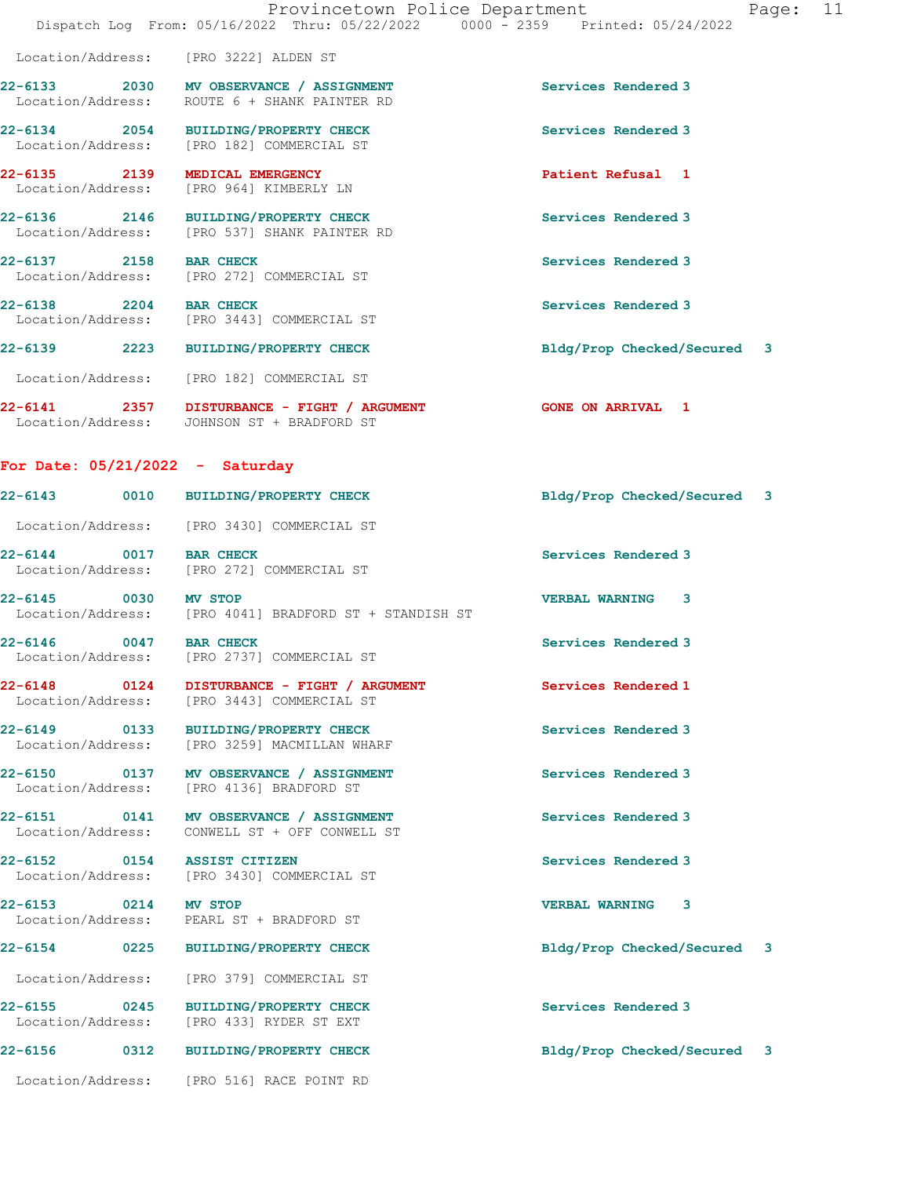|                                   | Provincetown Police Department<br>Dispatch Log From: 05/16/2022 Thru: 05/22/2022 0000 - 2359 Printed: 05/24/2022 | Page: 11                    |
|-----------------------------------|------------------------------------------------------------------------------------------------------------------|-----------------------------|
|                                   | Location/Address: [PRO 3222] ALDEN ST                                                                            |                             |
|                                   | 22-6133 2030 MV OBSERVANCE / ASSIGNMENT<br>Location/Address: ROUTE 6 + SHANK PAINTER RD                          | Services Rendered 3         |
|                                   | 22-6134 2054 BUILDING/PROPERTY CHECK<br>Location/Address: [PRO 182] COMMERCIAL ST                                | Services Rendered 3         |
| 22-6135 2139 MEDICAL EMERGENCY    | Location/Address: [PRO 964] KIMBERLY LN                                                                          | Patient Refusal 1           |
|                                   | 22-6136 2146 BUILDING/PROPERTY CHECK<br>Location/Address: [PRO 537] SHANK PAINTER RD                             | Services Rendered 3         |
| 22-6137 2158 BAR CHECK            | Location/Address: [PRO 272] COMMERCIAL ST                                                                        | Services Rendered 3         |
|                                   | 22-6138 2204 BAR CHECK<br>Location/Address: [PRO 3443] COMMERCIAL ST                                             | Services Rendered 3         |
|                                   | 22-6139 2223 BUILDING/PROPERTY CHECK                                                                             | Bldg/Prop Checked/Secured 3 |
|                                   | Location/Address: [PRO 182] COMMERCIAL ST                                                                        |                             |
|                                   | 22-6141 2357 DISTURBANCE - FIGHT / ARGUMENT<br>Location/Address: JOHNSON ST + BRADFORD ST                        | <b>GONE ON ARRIVAL 1</b>    |
| For Date: $05/21/2022 -$ Saturday |                                                                                                                  |                             |
|                                   | 22-6143 0010 BUILDING/PROPERTY CHECK                                                                             | Bldg/Prop Checked/Secured 3 |
|                                   | Location/Address: [PRO 3430] COMMERCIAL ST                                                                       |                             |
|                                   | 22-6144 0017 BAR CHECK<br>Location/Address: [PRO 272] COMMERCIAL ST                                              | Services Rendered 3         |
| 22-6145 0030 MV STOP              | Location/Address: [PRO 4041] BRADFORD ST + STANDISH ST                                                           | VERBAL WARNING 3            |
| $22 - 6146$<br>0047 BAR CHECK     | Location/Address: [PRO 2737] COMMERCIAL ST                                                                       | Services Rendered 3         |
|                                   | 22-6148  0124  DISTURBANCE - FIGHT / ARGUMENT<br>Location/Address: [PRO 3443] COMMERCIAL ST                      | Services Rendered 1         |
| Location/Address:                 | 22-6149 0133 BUILDING/PROPERTY CHECK<br>[PRO 3259] MACMILLAN WHARF                                               | Services Rendered 3         |
|                                   | 22-6150 0137 MV OBSERVANCE / ASSIGNMENT<br>Location/Address: [PRO 4136] BRADFORD ST                              | Services Rendered 3         |
| Location/Address:                 | 22-6151 0141 MV OBSERVANCE / ASSIGNMENT<br>CONWELL ST + OFF CONWELL ST                                           | Services Rendered 3         |
| 22-6152 0154 ASSIST CITIZEN       | Location/Address: [PRO 3430] COMMERCIAL ST                                                                       | Services Rendered 3         |
| 22-6153 0214 MV STOP              | Location/Address: PEARL ST + BRADFORD ST                                                                         | <b>VERBAL WARNING 3</b>     |
|                                   | 22-6154 0225 BUILDING/PROPERTY CHECK                                                                             | Bldg/Prop Checked/Secured 3 |
| Location/Address:                 | [PRO 379] COMMERCIAL ST                                                                                          |                             |
|                                   | 22-6155 0245 BUILDING/PROPERTY CHECK<br>Location/Address: [PRO 433] RYDER ST EXT                                 | Services Rendered 3         |
|                                   | 22-6156 0312 BUILDING/PROPERTY CHECK                                                                             | Bldg/Prop Checked/Secured 3 |
|                                   | Location/Address: [PRO 516] RACE POINT RD                                                                        |                             |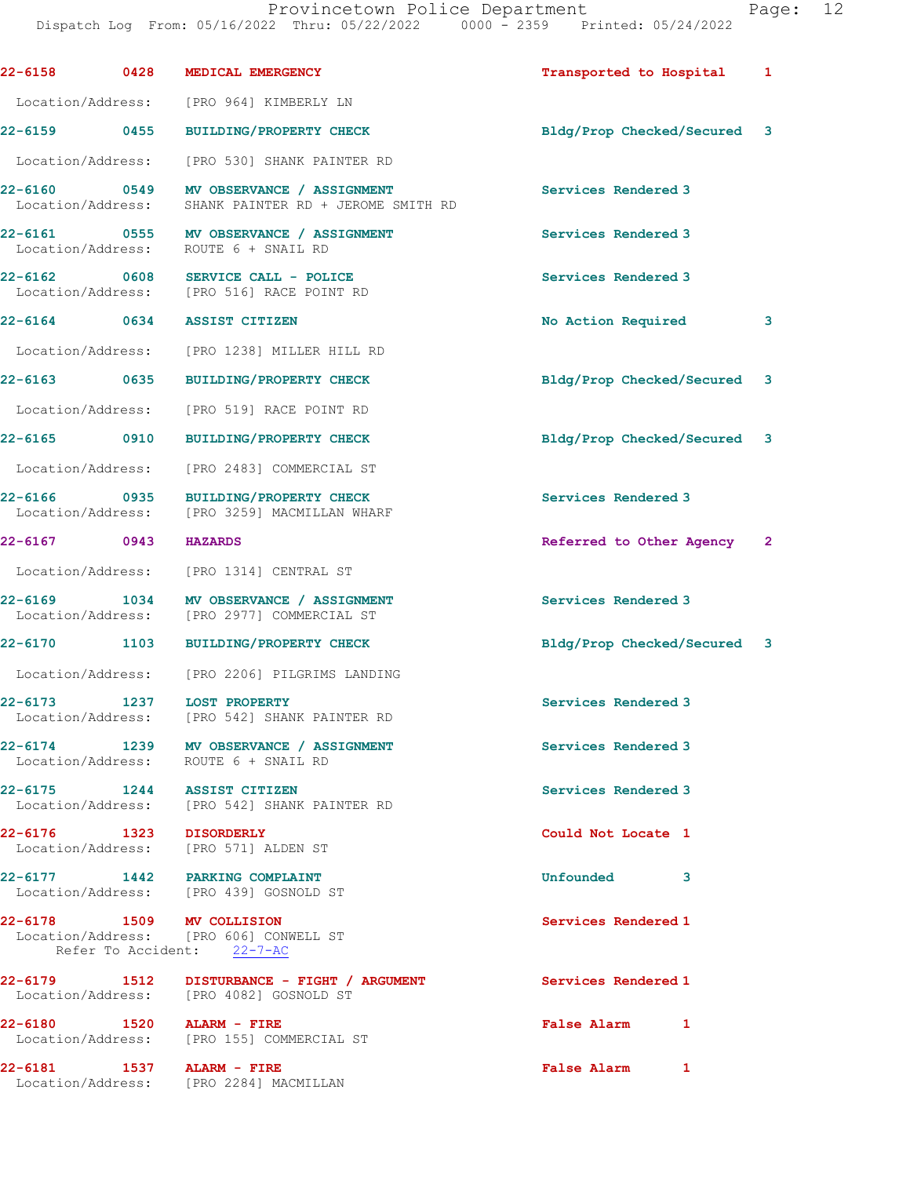| 22-6158                           | 0428 | MEDICAL EMERGENCY                                                                                 | Transported to Hospital            | 1              |
|-----------------------------------|------|---------------------------------------------------------------------------------------------------|------------------------------------|----------------|
| Location/Address:                 |      | [PRO 964] KIMBERLY LN                                                                             |                                    |                |
| 22-6159 0455                      |      | <b>BUILDING/PROPERTY CHECK</b>                                                                    | Bldg/Prop Checked/Secured          | 3              |
| Location/Address:                 |      | [PRO 530] SHANK PAINTER RD                                                                        |                                    |                |
| 22-6160 0549<br>Location/Address: |      | MV OBSERVANCE / ASSIGNMENT<br>SHANK PAINTER RD + JEROME SMITH RD                                  | Services Rendered 3                |                |
|                                   |      | 22-6161 0555 MV OBSERVANCE / ASSIGNMENT<br>Location/Address: ROUTE 6 + SNAIL RD                   | Services Rendered 3                |                |
| 22-6162 0608                      |      | SERVICE CALL - POLICE<br>Location/Address: [PRO 516] RACE POINT RD                                | Services Rendered 3                |                |
| 22-6164                           | 0634 | <b>ASSIST CITIZEN</b>                                                                             | No Action Required                 | 3              |
| Location/Address:                 |      | [PRO 1238] MILLER HILL RD                                                                         |                                    |                |
| 22-6163 0635                      |      | <b>BUILDING/PROPERTY CHECK</b>                                                                    | Bldg/Prop Checked/Secured          | 3              |
| Location/Address:                 |      | [PRO 519] RACE POINT RD                                                                           |                                    |                |
| 22-6165 0910                      |      | BUILDING/PROPERTY CHECK                                                                           | Bldg/Prop Checked/Secured          | 3              |
| Location/Address:                 |      | [PRO 2483] COMMERCIAL ST                                                                          |                                    |                |
| 22-6166<br>Location/Address:      | 0935 | <b>BUILDING/PROPERTY CHECK</b><br>[PRO 3259] MACMILLAN WHARF                                      | Services Rendered 3                |                |
| 22-6167 0943                      |      | <b>HAZARDS</b>                                                                                    | Referred to Other Agency           | $\overline{2}$ |
| Location/Address:                 |      | [PRO 1314] CENTRAL ST                                                                             |                                    |                |
| 22-6169<br>Location/Address:      | 1034 | MV OBSERVANCE / ASSIGNMENT<br>[PRO 2977] COMMERCIAL ST                                            | Services Rendered 3                |                |
| <b>22-6170</b>                    | 1103 | BUILDING/PROPERTY CHECK                                                                           | Bldg/Prop Checked/Secured 3        |                |
|                                   |      | Location/Address: [PRO 2206] PILGRIMS LANDING                                                     |                                    |                |
|                                   |      | 22-6173 1237 LOST PROPERTY<br>Location/Address: [PRO 542] SHANK PAINTER RD                        | Services Rendered 3                |                |
|                                   |      | 22-6174 1239 MV OBSERVANCE / ASSIGNMENT<br>Location/Address: ROUTE 6 + SNAIL RD                   | Services Rendered 3                |                |
|                                   |      | 22-6175 1244 ASSIST CITIZEN<br>Location/Address: [PRO 542] SHANK PAINTER RD                       | Services Rendered 3                |                |
|                                   |      | 22-6176 1323 DISORDERLY<br>Location/Address: [PRO 571] ALDEN ST                                   | Could Not Locate 1                 |                |
|                                   |      | 22-6177 1442 PARKING COMPLAINT<br>Location/Address: [PRO 439] GOSNOLD ST                          | Unfounded 3                        |                |
|                                   |      | 22-6178 1509 MV COLLISION<br>Location/Address: [PRO 606] CONWELL ST<br>Refer To Accident: 22-7-AC | Services Rendered 1                |                |
|                                   |      | 22-6179 1512 DISTURBANCE - FIGHT / ARGUMENT<br>Location/Address: [PRO 4082] GOSNOLD ST            | Services Rendered 1                |                |
|                                   |      | 22-6180 1520 ALARM - FIRE<br>Location/Address: [PRO 155] COMMERCIAL ST                            | <b>False Alarm</b><br>$\mathbf{1}$ |                |
|                                   |      | 22-6181 1537 ALARM - FIRE<br>Location/Address: [PRO 2284] MACMILLAN                               | <b>False Alarm</b><br>1            |                |
|                                   |      |                                                                                                   |                                    |                |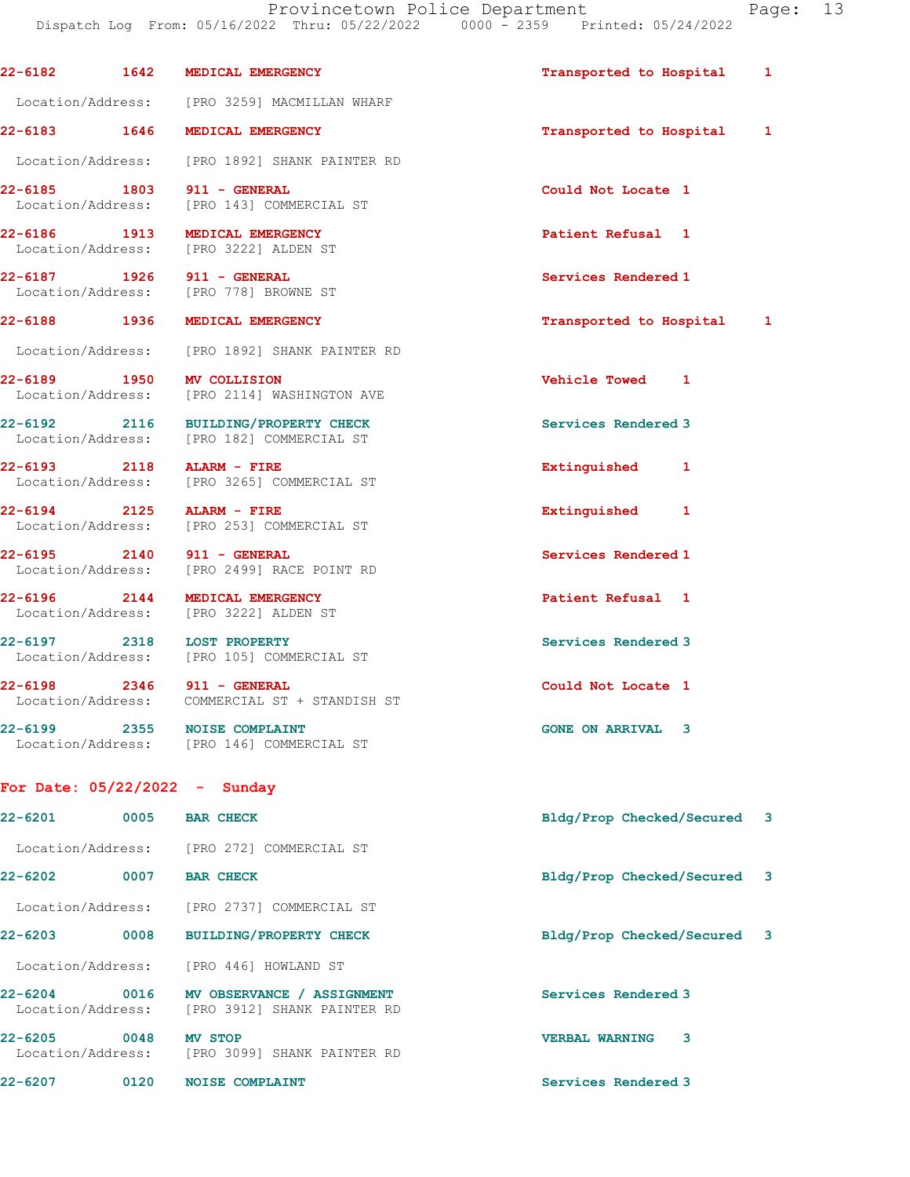Dispatch Log From: 05/16/2022 Thru: 05/22/2022 0000 - 2359 Printed: 05/24/2022

| $22 - 6182$                       | 1642 | MEDICAL EMERGENCY                                                           | Transported to Hospital     | 1 |
|-----------------------------------|------|-----------------------------------------------------------------------------|-----------------------------|---|
|                                   |      | Location/Address: [PRO 3259] MACMILLAN WHARF                                |                             |   |
| 22-6183 1646                      |      | MEDICAL EMERGENCY                                                           | Transported to Hospital     | 1 |
|                                   |      | Location/Address: [PRO 1892] SHANK PAINTER RD                               |                             |   |
| 22-6185 1803<br>Location/Address: |      | 911 - GENERAL<br>[PRO 143] COMMERCIAL ST                                    | Could Not Locate 1          |   |
| 22-6186 1913                      |      | MEDICAL EMERGENCY<br>Location/Address: [PRO 3222] ALDEN ST                  | Patient Refusal 1           |   |
|                                   |      | 22-6187 1926 911 - GENERAL<br>Location/Address: [PRO 778] BROWNE ST         | Services Rendered 1         |   |
| 22-6188 1936                      |      | MEDICAL EMERGENCY                                                           | Transported to Hospital     | 1 |
|                                   |      | Location/Address: [PRO 1892] SHANK PAINTER RD                               |                             |   |
| 22-6189 1950                      |      | <b>MV COLLISION</b><br>Location/Address: [PRO 2114] WASHINGTON AVE          | Vehicle Towed 1             |   |
| 22-6192 2116                      |      | <b>BUILDING/PROPERTY CHECK</b><br>Location/Address: [PRO 182] COMMERCIAL ST | Services Rendered 3         |   |
|                                   |      | 22-6193 2118 ALARM - FIRE<br>Location/Address: [PRO 3265] COMMERCIAL ST     | Extinguished<br>1           |   |
| $22 - 6194$ 2125                  |      | ALARM - FIRE<br>Location/Address: [PRO 253] COMMERCIAL ST                   | Extinguished 1              |   |
| 22-6195 2140<br>Location/Address: |      | 911 - GENERAL<br>[PRO 2499] RACE POINT RD                                   | Services Rendered 1         |   |
| 22-6196 2144                      |      | MEDICAL EMERGENCY<br>Location/Address: [PRO 3222] ALDEN ST                  | Patient Refusal 1           |   |
|                                   |      | 22-6197 2318 LOST PROPERTY<br>Location/Address: [PRO 105] COMMERCIAL ST     | Services Rendered 3         |   |
|                                   |      | 22-6198 2346 911 - GENERAL<br>Location/Address: COMMERCIAL ST + STANDISH ST | Could Not Locate 1          |   |
| $22 - 6199$                       | 2355 | <b>NOISE COMPLAINT</b><br>Location/Address: [PRO 146] COMMERCIAL ST         | <b>GONE ON ARRIVAL</b><br>3 |   |
|                                   |      | For Date: $05/22/2022 -$ Sunday                                             |                             |   |
| 22-6201                           | 0005 | <b>BAR CHECK</b>                                                            | Bldg/Prop Checked/Secured 3 |   |
|                                   |      | Location/Address: [PRO 272] COMMERCIAL ST                                   |                             |   |
| $22 - 6202$                       | 0007 | <b>BAR CHECK</b>                                                            | Bldg/Prop Checked/Secured 3 |   |
| Location/Address:                 |      | [PRO 2737] COMMERCIAL ST                                                    |                             |   |
| 22-6203                           | 0008 | <b>BUILDING/PROPERTY CHECK</b>                                              | Bldg/Prop Checked/Secured 3 |   |
|                                   |      | Location/Address: [PRO 446] HOWLAND ST                                      |                             |   |
| $22 - 6204$                       | 0016 | MV OBSERVANCE / ASSIGNMENT<br>Location/Address: [PRO 3912] SHANK PAINTER RD | Services Rendered 3         |   |
| 22-6205<br>Location/Address:      | 0048 | MV STOP<br>[PRO 3099] SHANK PAINTER RD                                      | <b>VERBAL WARNING</b><br>3  |   |
| 22-6207                           | 0120 | <b>NOISE COMPLAINT</b>                                                      | Services Rendered 3         |   |
|                                   |      |                                                                             |                             |   |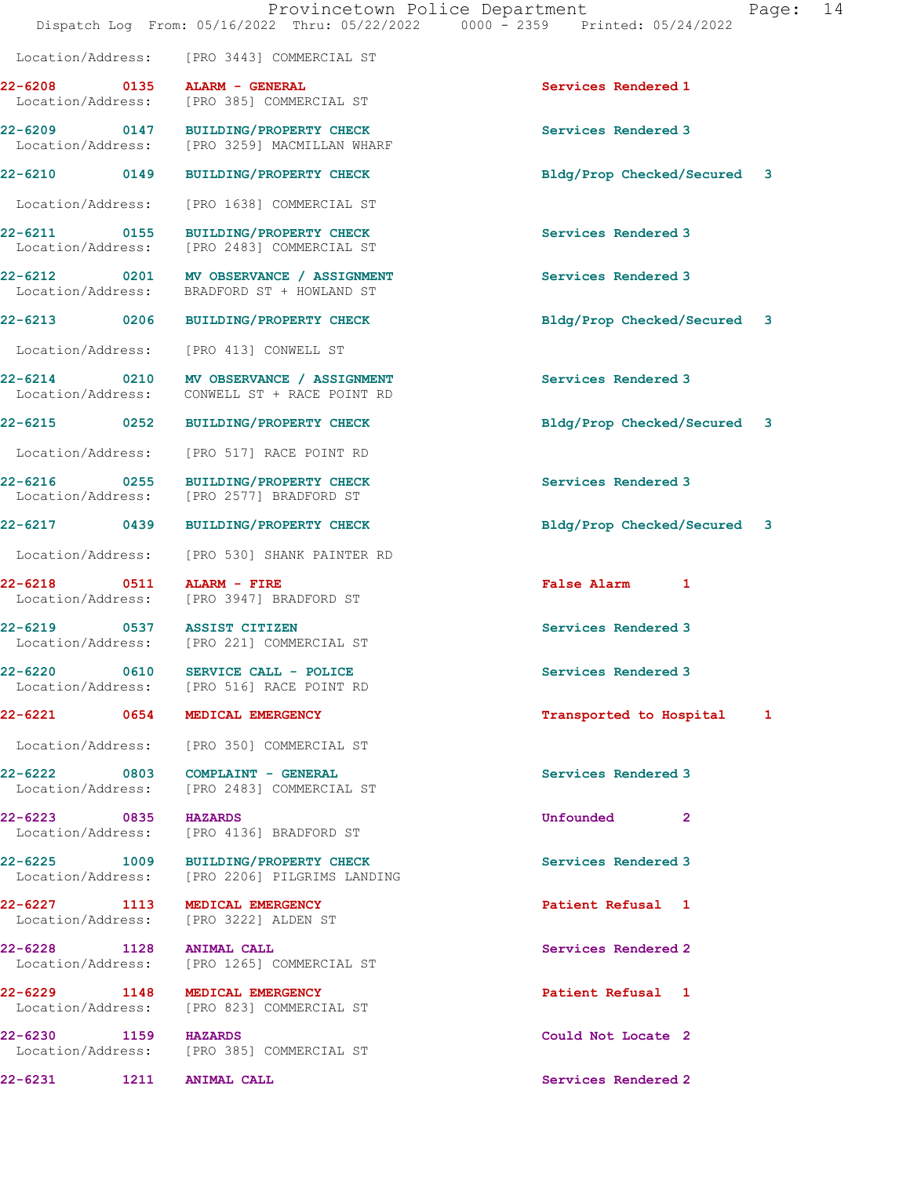| aae |  |
|-----|--|
|     |  |

 Location/Address: [PRO 3443] COMMERCIAL ST 22-6208 0135 ALARM - GENERAL Services Rendered 1 Location/Address: [PRO 385] COMMERCIAL ST 22-6209 0147 BUILDING/PROPERTY CHECK Services Rendered 3<br>
Location/Address: [PRO 3259] MACMILLAN WHARF [PRO 3259] MACMILLAN WHARF 22-6210 0149 BUILDING/PROPERTY CHECK Bldg/Prop Checked/Secured 3 Location/Address: [PRO 1638] COMMERCIAL ST 22-6211 0155 BUILDING/PROPERTY CHECK Services Rendered 3 Location/Address: [PRO 2483] COMMERCIAL ST 22-6212 0201 MV OBSERVANCE / ASSIGNMENT Services Rendered 3 BRADFORD ST + HOWLAND ST 22-6213 0206 BUILDING/PROPERTY CHECK Bldg/Prop Checked/Secured 3 Location/Address: [PRO 413] CONWELL ST 22-6214 0210 MV OBSERVANCE / ASSIGNMENT Services Rendered 3 Location/Address: CONWELL ST + RACE POINT RD 22-6215 0252 BUILDING/PROPERTY CHECK Bldg/Prop Checked/Secured 3 Location/Address: [PRO 517] RACE POINT RD 22-6216 0255 BUILDING/PROPERTY CHECK Services Rendered 3 [PRO 2577] BRADFORD ST 22-6217 0439 BUILDING/PROPERTY CHECK Bldg/Prop Checked/Secured 3 Location/Address: [PRO 530] SHANK PAINTER RD 22-6218 0511 ALARM - FIRE False Alarm 1 Location/Address: [PRO 3947] BRADFORD ST 22-6219 0537 ASSIST CITIZEN Services Rendered 3 [PRO 221] COMMERCIAL ST 22-6220 0610 SERVICE CALL - POLICE Services Rendered 3 Location/Address: [PRO 516] RACE POINT RD 22-6221 0654 MEDICAL EMERGENCY **120 CONTACT 1** Transported to Hospital 1 Location/Address: [PRO 350] COMMERCIAL ST 22-6222 0803 COMPLAINT - GENERAL Services Rendered 3 Location/Address: [PRO 2483] COMMERCIAL ST 22-6223 0835 HAZARDS Unfounded 2 Location/Address: [PRO 4136] BRADFORD ST 22-6225 1009 BUILDING/PROPERTY CHECK Services Rendered 3<br>
Location/Address: [PRO 2206] PILGRIMS LANDING [PRO 2206] PILGRIMS LANDING 22-6227 1113 MEDICAL EMERGENCY 22-6227 Patient Refusal 1 Location/Address: [PRO 3222] ALDEN ST 22-6228 1128 ANIMAL CALL 22-6228 1128 22-6228<br>
Location/Address: [PRO 1265] COMMERCIAL ST [PRO 1265] COMMERCIAL ST 22-6229 1148 MEDICAL EMERGENCY **Patient Refusal** 1 Location/Address: [PRO 823] COMMERCIAL ST 22-6230 1159 HAZARDS Could Not Locate 2 Location/Address: [PRO 385] COMMERCIAL ST 22-6231 1211 ANIMAL CALL Services Rendered 2